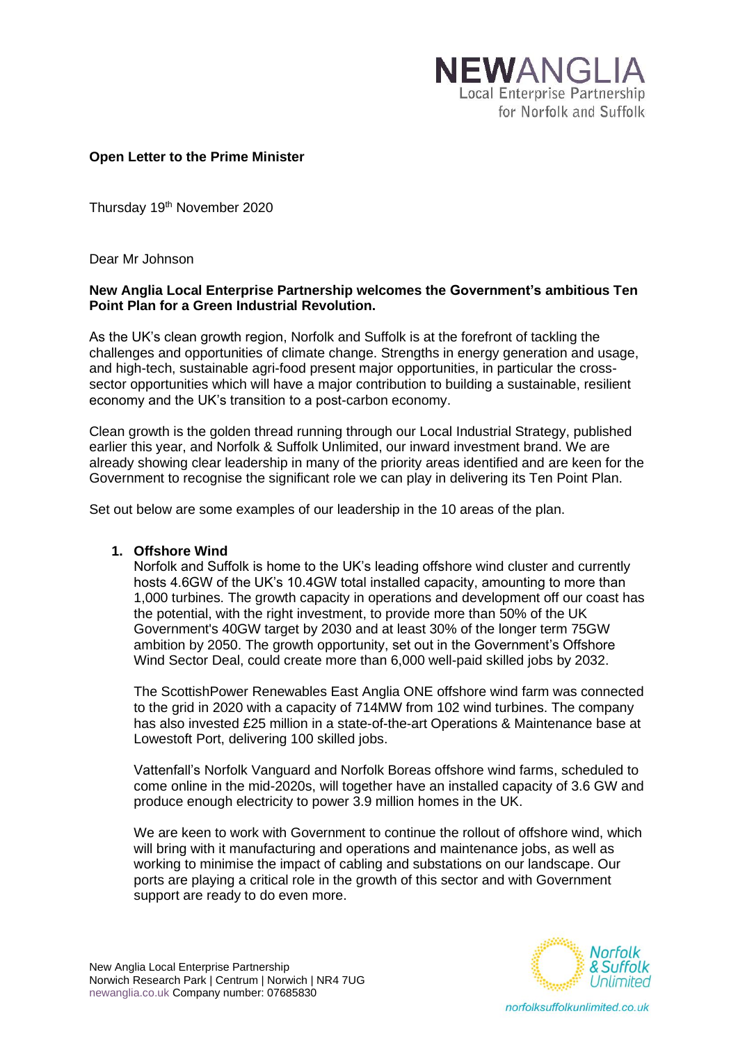

### **Open Letter to the Prime Minister**

Thursday 19<sup>th</sup> November 2020

Dear Mr Johnson

### **New Anglia Local Enterprise Partnership welcomes the Government's ambitious Ten Point Plan for a Green Industrial Revolution.**

As the UK's clean growth region, Norfolk and Suffolk is at the forefront of tackling the challenges and opportunities of climate change. Strengths in energy generation and usage, and high-tech, sustainable agri-food present major opportunities, in particular the crosssector opportunities which will have a major contribution to building a sustainable, resilient economy and the UK's transition to a post-carbon economy.

Clean growth is the golden thread running through our Local Industrial Strategy, published earlier this year, and Norfolk & Suffolk Unlimited, our inward investment brand. We are already showing clear leadership in many of the priority areas identified and are keen for the Government to recognise the significant role we can play in delivering its Ten Point Plan.

Set out below are some examples of our leadership in the 10 areas of the plan.

### **1. Offshore Wind**

Norfolk and Suffolk is home to the UK's leading offshore wind cluster and currently hosts 4.6GW of the UK's 10.4GW total installed capacity, amounting to more than 1,000 turbines. The growth capacity in operations and development off our coast has the potential, with the right investment, to provide more than 50% of the UK Government's 40GW target by 2030 and at least 30% of the longer term 75GW ambition by 2050. The growth opportunity, set out in the Government's Offshore Wind Sector Deal, could create more than 6,000 well-paid skilled jobs by 2032.

The ScottishPower Renewables East Anglia ONE offshore wind farm was connected to the grid in 2020 with a capacity of 714MW from 102 wind turbines. The company has also invested £25 million in a state-of-the-art Operations & Maintenance base at Lowestoft Port, delivering 100 skilled jobs.

Vattenfall's Norfolk Vanguard and Norfolk Boreas offshore wind farms, scheduled to come online in the mid-2020s, will together have an installed capacity of 3.6 GW and produce enough electricity to power 3.9 million homes in the UK.

We are keen to work with Government to continue the rollout of offshore wind, which will bring with it manufacturing and operations and maintenance jobs, as well as working to minimise the impact of cabling and substations on our landscape. Our ports are playing a critical role in the growth of this sector and with Government support are ready to do even more.

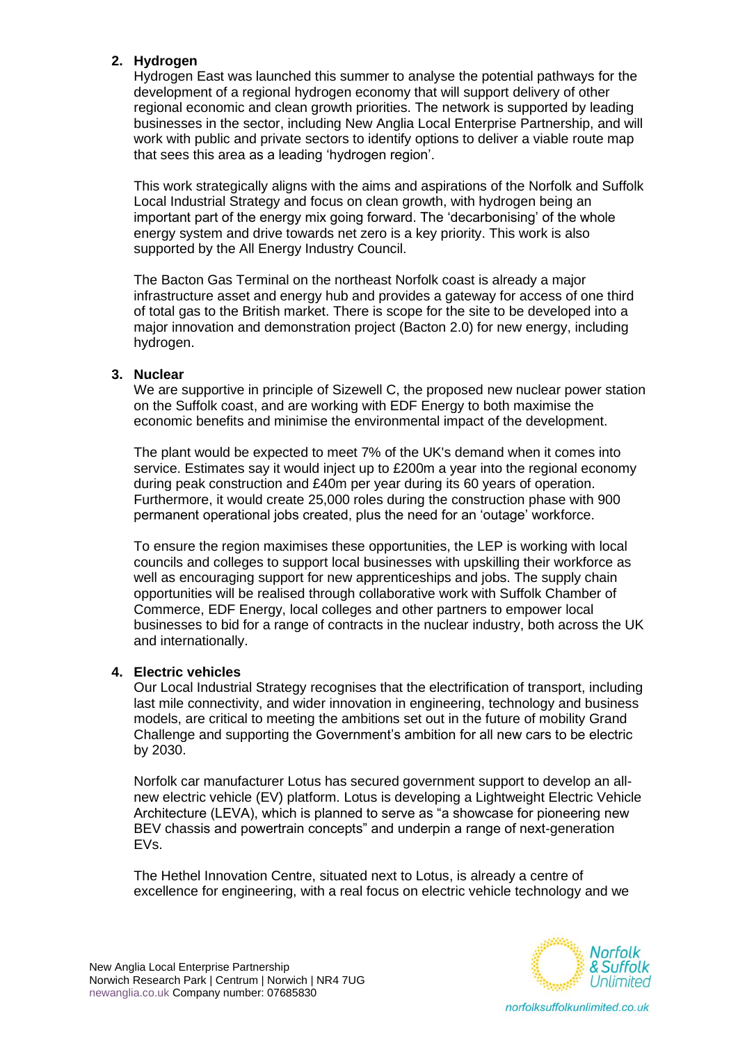# **2. Hydrogen**

Hydrogen East was launched this summer to analyse the potential pathways for the development of a regional hydrogen economy that will support delivery of other regional economic and clean growth priorities. The network is supported by leading businesses in the sector, including New Anglia Local Enterprise Partnership, and will work with public and private sectors to identify options to deliver a viable route map that sees this area as a leading 'hydrogen region'.

This work strategically aligns with the aims and aspirations of the Norfolk and Suffolk Local Industrial Strategy and focus on clean growth, with hydrogen being an important part of the energy mix going forward. The 'decarbonising' of the whole energy system and drive towards net zero is a key priority. This work is also supported by the All Energy Industry Council.

The Bacton Gas Terminal on the northeast Norfolk coast is already a major infrastructure asset and energy hub and provides a gateway for access of one third of total gas to the British market. There is scope for the site to be developed into a major innovation and demonstration project (Bacton 2.0) for new energy, including hydrogen.

### **3. Nuclear**

We are supportive in principle of Sizewell C, the proposed new nuclear power station on the Suffolk coast, and are working with EDF Energy to both maximise the economic benefits and minimise the environmental impact of the development.

The plant would be expected to meet 7% of the UK's demand when it comes into service. Estimates say it would inject up to £200m a year into the regional economy during peak construction and £40m per year during its 60 years of operation. Furthermore, it would create 25,000 roles during the construction phase with 900 permanent operational jobs created, plus the need for an 'outage' workforce.

To ensure the region maximises these opportunities, the LEP is working with local councils and colleges to support local businesses with upskilling their workforce as well as encouraging support for new apprenticeships and jobs. The supply chain opportunities will be realised through collaborative work with Suffolk Chamber of Commerce, EDF Energy, local colleges and other partners to empower local businesses to bid for a range of contracts in the nuclear industry, both across the UK and internationally.

### **4. Electric vehicles**

Our Local Industrial Strategy recognises that the electrification of transport, including last mile connectivity, and wider innovation in engineering, technology and business models, are critical to meeting the ambitions set out in the future of mobility Grand Challenge and supporting the Government's ambition for all new cars to be electric by 2030.

Norfolk car manufacturer Lotus has secured government support to develop an allnew electric vehicle (EV) platform. Lotus is developing a Lightweight Electric Vehicle Architecture (LEVA), which is planned to serve as "a showcase for pioneering new BEV chassis and powertrain concepts" and underpin a range of next-generation EVs.

The Hethel Innovation Centre, situated next to Lotus, is already a centre of excellence for engineering, with a real focus on electric vehicle technology and we

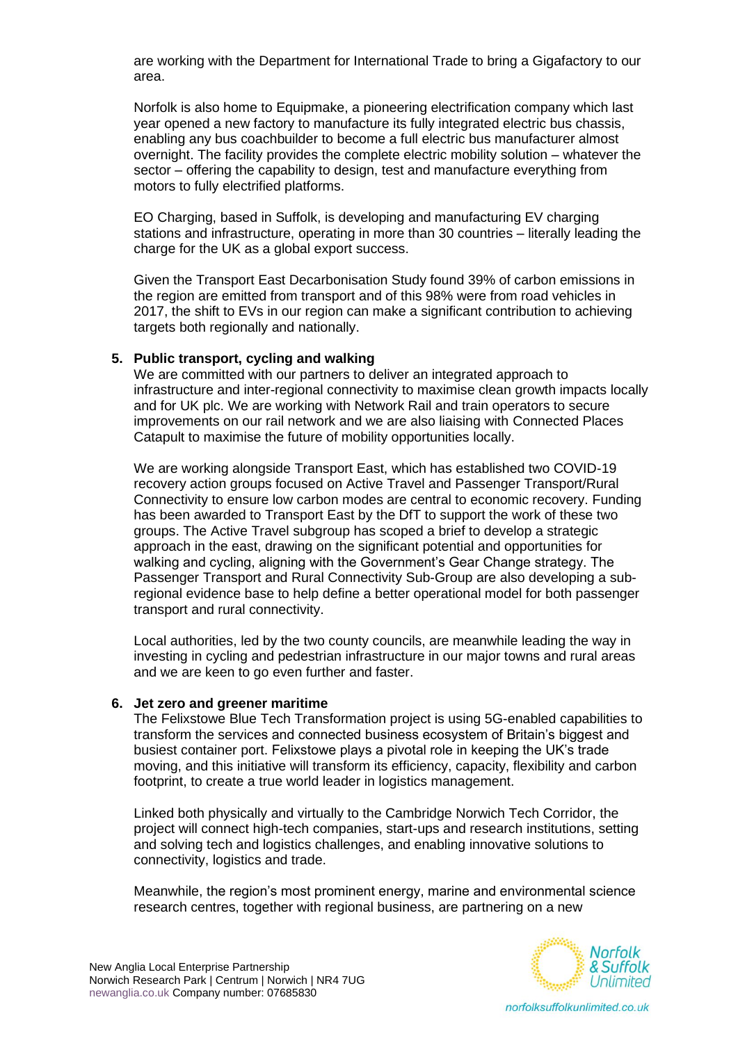are working with the Department for International Trade to bring a Gigafactory to our area.

Norfolk is also home to Equipmake, a pioneering electrification company which last year opened a new factory to manufacture its fully integrated electric bus chassis, enabling any bus coachbuilder to become a full electric bus manufacturer almost overnight. The facility provides the complete electric mobility solution – whatever the sector – offering the capability to design, test and manufacture everything from motors to fully electrified platforms.

EO Charging, based in Suffolk, is developing and manufacturing EV charging stations and infrastructure, operating in more than 30 countries – literally leading the charge for the UK as a global export success.

Given the Transport East Decarbonisation Study found 39% of carbon emissions in the region are emitted from transport and of this 98% were from road vehicles in 2017, the shift to EVs in our region can make a significant contribution to achieving targets both regionally and nationally.

### **5. Public transport, cycling and walking**

We are committed with our partners to deliver an integrated approach to infrastructure and inter-regional connectivity to maximise clean growth impacts locally and for UK plc. We are working with Network Rail and train operators to secure improvements on our rail network and we are also liaising with Connected Places Catapult to maximise the future of mobility opportunities locally.

We are working alongside Transport East, which has established two COVID-19 recovery action groups focused on Active Travel and Passenger Transport/Rural Connectivity to ensure low carbon modes are central to economic recovery. Funding has been awarded to Transport East by the DfT to support the work of these two groups. The Active Travel subgroup has scoped a brief to develop a strategic approach in the east, drawing on the significant potential and opportunities for walking and cycling, aligning with the Government's Gear Change strategy. The Passenger Transport and Rural Connectivity Sub-Group are also developing a subregional evidence base to help define a better operational model for both passenger transport and rural connectivity.

Local authorities, led by the two county councils, are meanwhile leading the way in investing in cycling and pedestrian infrastructure in our major towns and rural areas and we are keen to go even further and faster.

#### **6. Jet zero and greener maritime**

The Felixstowe Blue Tech Transformation project is using 5G-enabled capabilities to transform the services and connected business ecosystem of Britain's biggest and busiest container port. Felixstowe plays a pivotal role in keeping the UK's trade moving, and this initiative will transform its efficiency, capacity, flexibility and carbon footprint, to create a true world leader in logistics management.

Linked both physically and virtually to the Cambridge Norwich Tech Corridor, the project will connect high-tech companies, start-ups and research institutions, setting and solving tech and logistics challenges, and enabling innovative solutions to connectivity, logistics and trade.

Meanwhile, the region's most prominent energy, marine and environmental science research centres, together with regional business, are partnering on a new

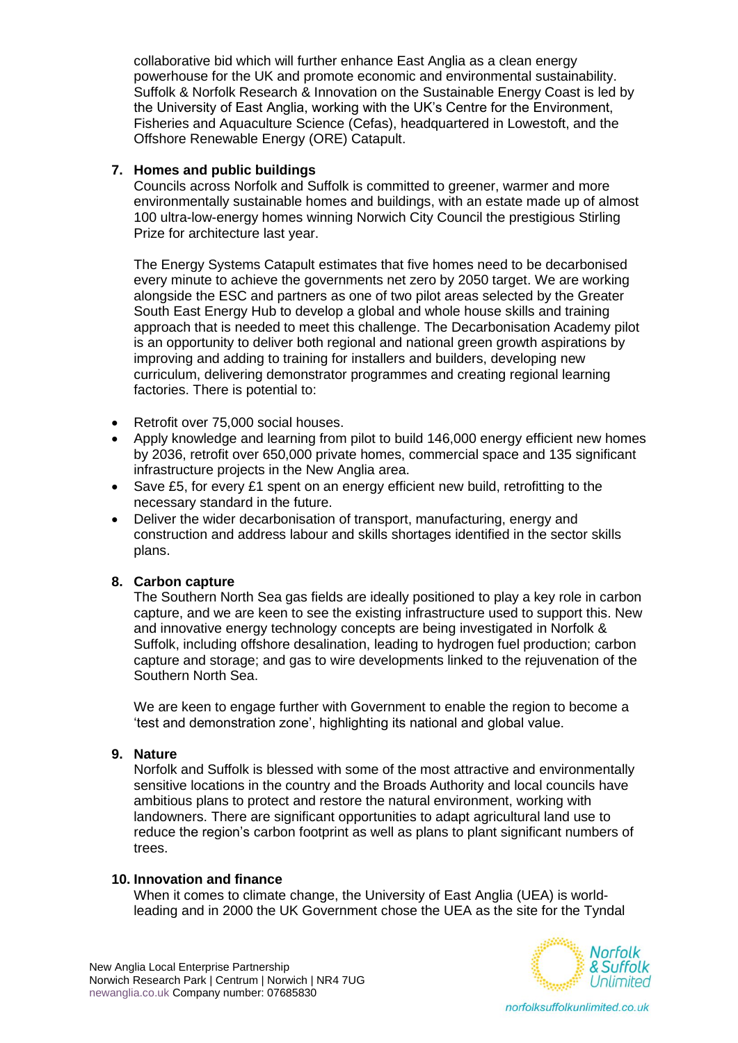collaborative bid which will further enhance East Anglia as a clean energy powerhouse for the UK and promote economic and environmental sustainability. Suffolk & Norfolk Research & Innovation on the Sustainable Energy Coast is led by the University of East Anglia, working with the UK's Centre for the Environment, Fisheries and Aquaculture Science (Cefas), headquartered in Lowestoft, and the Offshore Renewable Energy (ORE) Catapult.

## **7. Homes and public buildings**

Councils across Norfolk and Suffolk is committed to greener, warmer and more environmentally sustainable homes and buildings, with an estate made up of almost 100 ultra-low-energy homes winning Norwich City Council the prestigious Stirling Prize for architecture last year.

The Energy Systems Catapult estimates that five homes need to be decarbonised every minute to achieve the governments net zero by 2050 target. We are working alongside the ESC and partners as one of two pilot areas selected by the Greater South East Energy Hub to develop a global and whole house skills and training approach that is needed to meet this challenge. The Decarbonisation Academy pilot is an opportunity to deliver both regional and national green growth aspirations by improving and adding to training for installers and builders, developing new curriculum, delivering demonstrator programmes and creating regional learning factories. There is potential to:

- Retrofit over 75,000 social houses.
- Apply knowledge and learning from pilot to build 146,000 energy efficient new homes by 2036, retrofit over 650,000 private homes, commercial space and 135 significant infrastructure projects in the New Anglia area.
- Save £5, for every £1 spent on an energy efficient new build, retrofitting to the necessary standard in the future.
- Deliver the wider decarbonisation of transport, manufacturing, energy and construction and address labour and skills shortages identified in the sector skills plans.

### **8. Carbon capture**

The Southern North Sea gas fields are ideally positioned to play a key role in carbon capture, and we are keen to see the existing infrastructure used to support this. New and innovative energy technology concepts are being investigated in Norfolk & Suffolk, including offshore desalination, leading to hydrogen fuel production; carbon capture and storage; and gas to wire developments linked to the rejuvenation of the Southern North Sea.

We are keen to engage further with Government to enable the region to become a 'test and demonstration zone', highlighting its national and global value.

### **9. Nature**

Norfolk and Suffolk is blessed with some of the most attractive and environmentally sensitive locations in the country and the Broads Authority and local councils have ambitious plans to protect and restore the natural environment, working with landowners. There are significant opportunities to adapt agricultural land use to reduce the region's carbon footprint as well as plans to plant significant numbers of trees.

### **10. Innovation and finance**

When it comes to climate change, the University of East Anglia (UEA) is worldleading and in 2000 the UK Government chose the UEA as the site for the Tyndal